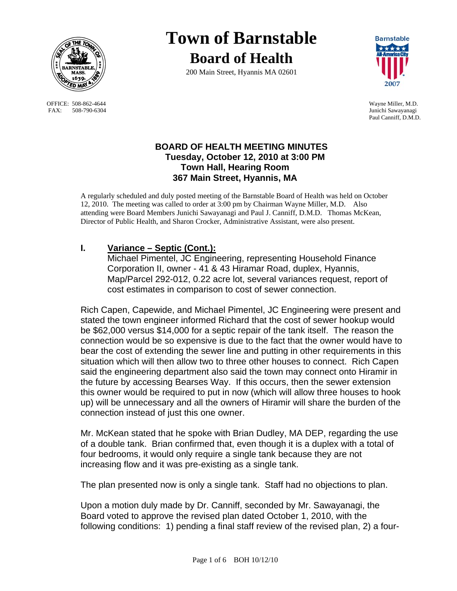

OFFICE: 508-862-4644 Wayne Miller, M.D.<br>
FAX: 508-790-6304 Junichi Sawayanagi FAX: 508-790-6304

# **Town of Barnstable Board of Health**

200 Main Street, Hyannis MA 02601



Paul Canniff, D.M.D.

## **BOARD OF HEALTH MEETING MINUTES Tuesday, October 12, 2010 at 3:00 PM Town Hall, Hearing Room 367 Main Street, Hyannis, MA**

A regularly scheduled and duly posted meeting of the Barnstable Board of Health was held on October 12, 2010. The meeting was called to order at 3:00 pm by Chairman Wayne Miller, M.D. Also attending were Board Members Junichi Sawayanagi and Paul J. Canniff, D.M.D. Thomas McKean, Director of Public Health, and Sharon Crocker, Administrative Assistant, were also present.

# **I. Variance – Septic (Cont.):**

Michael Pimentel, JC Engineering, representing Household Finance Corporation II, owner - 41 & 43 Hiramar Road, duplex, Hyannis, Map/Parcel 292-012, 0.22 acre lot, several variances request, report of cost estimates in comparison to cost of sewer connection.

Rich Capen, Capewide, and Michael Pimentel, JC Engineering were present and stated the town engineer informed Richard that the cost of sewer hookup would be \$62,000 versus \$14,000 for a septic repair of the tank itself. The reason the connection would be so expensive is due to the fact that the owner would have to bear the cost of extending the sewer line and putting in other requirements in this situation which will then allow two to three other houses to connect. Rich Capen said the engineering department also said the town may connect onto Hiramir in the future by accessing Bearses Way. If this occurs, then the sewer extension this owner would be required to put in now (which will allow three houses to hook up) will be unnecessary and all the owners of Hiramir will share the burden of the connection instead of just this one owner.

Mr. McKean stated that he spoke with Brian Dudley, MA DEP, regarding the use of a double tank. Brian confirmed that, even though it is a duplex with a total of four bedrooms, it would only require a single tank because they are not increasing flow and it was pre-existing as a single tank.

The plan presented now is only a single tank. Staff had no objections to plan.

Upon a motion duly made by Dr. Canniff, seconded by Mr. Sawayanagi, the Board voted to approve the revised plan dated October 1, 2010, with the following conditions: 1) pending a final staff review of the revised plan, 2) a four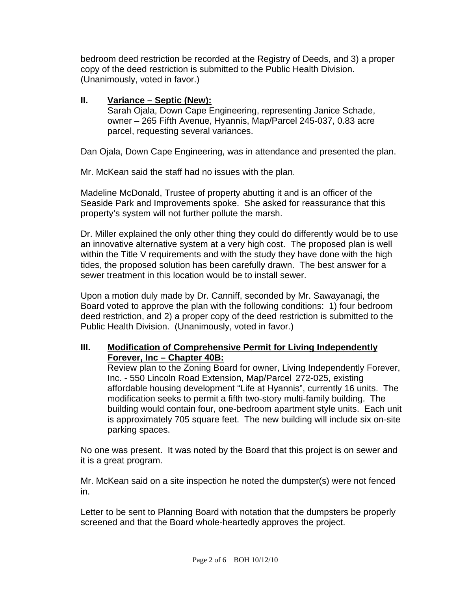bedroom deed restriction be recorded at the Registry of Deeds, and 3) a proper copy of the deed restriction is submitted to the Public Health Division. (Unanimously, voted in favor.)

## **II. Variance – Septic (New):**

 Sarah Ojala, Down Cape Engineering, representing Janice Schade, owner – 265 Fifth Avenue, Hyannis, Map/Parcel 245-037, 0.83 acre parcel, requesting several variances.

Dan Ojala, Down Cape Engineering, was in attendance and presented the plan.

Mr. McKean said the staff had no issues with the plan.

Madeline McDonald, Trustee of property abutting it and is an officer of the Seaside Park and Improvements spoke. She asked for reassurance that this property's system will not further pollute the marsh.

Dr. Miller explained the only other thing they could do differently would be to use an innovative alternative system at a very high cost. The proposed plan is well within the Title V requirements and with the study they have done with the high tides, the proposed solution has been carefully drawn. The best answer for a sewer treatment in this location would be to install sewer.

Upon a motion duly made by Dr. Canniff, seconded by Mr. Sawayanagi, the Board voted to approve the plan with the following conditions: 1) four bedroom deed restriction, and 2) a proper copy of the deed restriction is submitted to the Public Health Division. (Unanimously, voted in favor.)

## **III. Modification of Comprehensive Permit for Living Independently Forever, Inc – Chapter 40B:**

 Review plan to the Zoning Board for owner, Living Independently Forever, Inc. - 550 Lincoln Road Extension, Map/Parcel 272-025, existing affordable housing development "Life at Hyannis", currently 16 units. The modification seeks to permit a fifth two-story multi-family building. The building would contain four, one-bedroom apartment style units. Each unit is approximately 705 square feet. The new building will include six on-site parking spaces.

No one was present. It was noted by the Board that this project is on sewer and it is a great program.

Mr. McKean said on a site inspection he noted the dumpster(s) were not fenced in.

Letter to be sent to Planning Board with notation that the dumpsters be properly screened and that the Board whole-heartedly approves the project.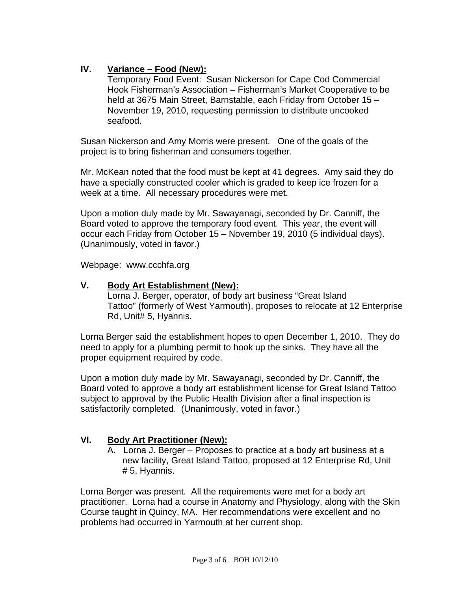# **IV. Variance – Food (New):**

 Temporary Food Event: Susan Nickerson for Cape Cod Commercial Hook Fisherman's Association – Fisherman's Market Cooperative to be held at 3675 Main Street, Barnstable, each Friday from October 15 – November 19, 2010, requesting permission to distribute uncooked seafood.

Susan Nickerson and Amy Morris were present. One of the goals of the project is to bring fisherman and consumers together.

Mr. McKean noted that the food must be kept at 41 degrees. Amy said they do have a specially constructed cooler which is graded to keep ice frozen for a week at a time. All necessary procedures were met.

Upon a motion duly made by Mr. Sawayanagi, seconded by Dr. Canniff, the Board voted to approve the temporary food event. This year, the event will occur each Friday from October 15 – November 19, 2010 (5 individual days). (Unanimously, voted in favor.)

Webpage: www.ccchfa.org

#### **V. Body Art Establishment (New):**

 Lorna J. Berger, operator, of body art business "Great Island Tattoo" (formerly of West Yarmouth), proposes to relocate at 12 Enterprise Rd, Unit# 5, Hyannis.

Lorna Berger said the establishment hopes to open December 1, 2010. They do need to apply for a plumbing permit to hook up the sinks. They have all the proper equipment required by code.

Upon a motion duly made by Mr. Sawayanagi, seconded by Dr. Canniff, the Board voted to approve a body art establishment license for Great Island Tattoo subject to approval by the Public Health Division after a final inspection is satisfactorily completed. (Unanimously, voted in favor.)

# **VI. Body Art Practitioner (New):**

A. Lorna J. Berger – Proposes to practice at a body art business at a new facility, Great Island Tattoo, proposed at 12 Enterprise Rd, Unit # 5, Hyannis.

Lorna Berger was present. All the requirements were met for a body art practitioner. Lorna had a course in Anatomy and Physiology, along with the Skin Course taught in Quincy, MA. Her recommendations were excellent and no problems had occurred in Yarmouth at her current shop.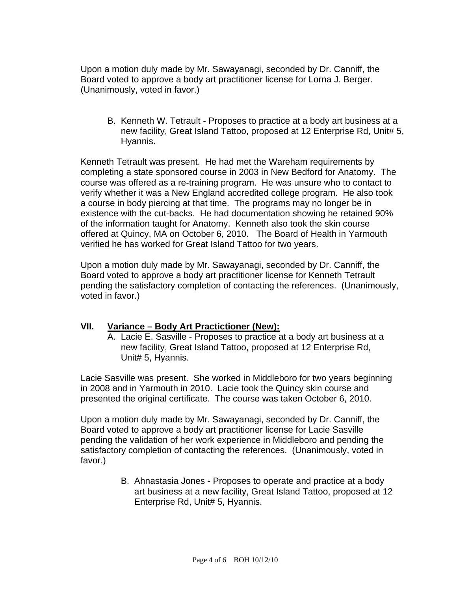Upon a motion duly made by Mr. Sawayanagi, seconded by Dr. Canniff, the Board voted to approve a body art practitioner license for Lorna J. Berger. (Unanimously, voted in favor.)

B. Kenneth W. Tetrault - Proposes to practice at a body art business at a new facility, Great Island Tattoo, proposed at 12 Enterprise Rd, Unit# 5, Hyannis.

Kenneth Tetrault was present. He had met the Wareham requirements by completing a state sponsored course in 2003 in New Bedford for Anatomy. The course was offered as a re-training program. He was unsure who to contact to verify whether it was a New England accredited college program. He also took a course in body piercing at that time. The programs may no longer be in existence with the cut-backs. He had documentation showing he retained 90% of the information taught for Anatomy. Kenneth also took the skin course offered at Quincy, MA on October 6, 2010. The Board of Health in Yarmouth verified he has worked for Great Island Tattoo for two years.

Upon a motion duly made by Mr. Sawayanagi, seconded by Dr. Canniff, the Board voted to approve a body art practitioner license for Kenneth Tetrault pending the satisfactory completion of contacting the references. (Unanimously, voted in favor.)

#### **VII. Variance – Body Art Practictioner (New):**

A. Lacie E. Sasville - Proposes to practice at a body art business at a new facility, Great Island Tattoo, proposed at 12 Enterprise Rd, Unit# 5, Hyannis.

Lacie Sasville was present. She worked in Middleboro for two years beginning in 2008 and in Yarmouth in 2010. Lacie took the Quincy skin course and presented the original certificate. The course was taken October 6, 2010.

Upon a motion duly made by Mr. Sawayanagi, seconded by Dr. Canniff, the Board voted to approve a body art practitioner license for Lacie Sasville pending the validation of her work experience in Middleboro and pending the satisfactory completion of contacting the references. (Unanimously, voted in favor.)

> B. Ahnastasia Jones - Proposes to operate and practice at a body art business at a new facility, Great Island Tattoo, proposed at 12 Enterprise Rd, Unit# 5, Hyannis.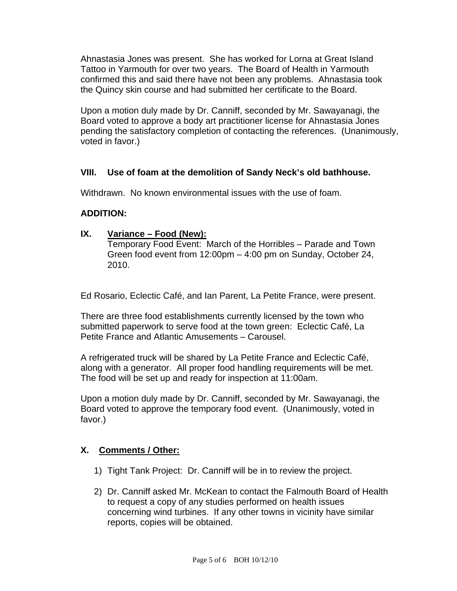Ahnastasia Jones was present. She has worked for Lorna at Great Island Tattoo in Yarmouth for over two years. The Board of Health in Yarmouth confirmed this and said there have not been any problems. Ahnastasia took the Quincy skin course and had submitted her certificate to the Board.

Upon a motion duly made by Dr. Canniff, seconded by Mr. Sawayanagi, the Board voted to approve a body art practitioner license for Ahnastasia Jones pending the satisfactory completion of contacting the references. (Unanimously, voted in favor.)

## **VIII. Use of foam at the demolition of Sandy Neck's old bathhouse.**

Withdrawn. No known environmental issues with the use of foam.

## **ADDITION:**

#### **IX. Variance – Food (New):**

Temporary Food Event: March of the Horribles – Parade and Town Green food event from 12:00pm – 4:00 pm on Sunday, October 24, 2010.

Ed Rosario, Eclectic Café, and Ian Parent, La Petite France, were present.

There are three food establishments currently licensed by the town who submitted paperwork to serve food at the town green: Eclectic Café, La Petite France and Atlantic Amusements – Carousel.

A refrigerated truck will be shared by La Petite France and Eclectic Café, along with a generator. All proper food handling requirements will be met. The food will be set up and ready for inspection at 11:00am.

Upon a motion duly made by Dr. Canniff, seconded by Mr. Sawayanagi, the Board voted to approve the temporary food event. (Unanimously, voted in favor.)

# **X. Comments / Other:**

- 1) Tight Tank Project: Dr. Canniff will be in to review the project.
- 2) Dr. Canniff asked Mr. McKean to contact the Falmouth Board of Health to request a copy of any studies performed on health issues concerning wind turbines. If any other towns in vicinity have similar reports, copies will be obtained.